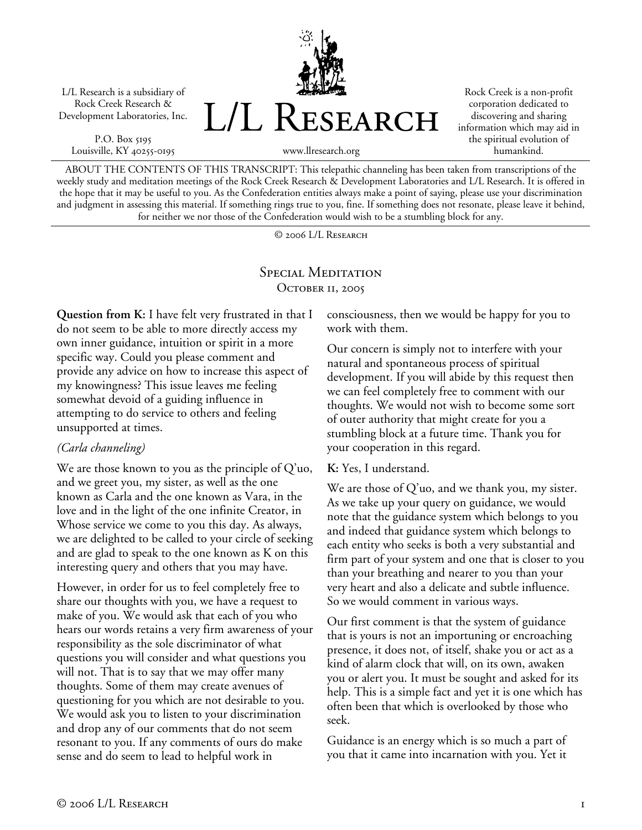L/L Research is a subsidiary of Rock Creek Research & Development Laboratories, Inc.

P.O. Box 5195 Louisville, KY 40255-0195



Rock Creek is a non-profit corporation dedicated to discovering and sharing information which may aid in the spiritual evolution of humankind.

www.llresearch.org

ABOUT THE CONTENTS OF THIS TRANSCRIPT: This telepathic channeling has been taken from transcriptions of the weekly study and meditation meetings of the Rock Creek Research & Development Laboratories and L/L Research. It is offered in the hope that it may be useful to you. As the Confederation entities always make a point of saying, please use your discrimination and judgment in assessing this material. If something rings true to you, fine. If something does not resonate, please leave it behind, for neither we nor those of the Confederation would wish to be a stumbling block for any.

© 2006 L/L Research

# SPECIAL MEDITATION OCTOBER 11, 2005

**Question from K:** I have felt very frustrated in that I do not seem to be able to more directly access my own inner guidance, intuition or spirit in a more specific way. Could you please comment and provide any advice on how to increase this aspect of my knowingness? This issue leaves me feeling somewhat devoid of a guiding influence in attempting to do service to others and feeling unsupported at times.

## *(Carla channeling)*

We are those known to you as the principle of  $Q'$ uo, and we greet you, my sister, as well as the one known as Carla and the one known as Vara, in the love and in the light of the one infinite Creator, in Whose service we come to you this day. As always, we are delighted to be called to your circle of seeking and are glad to speak to the one known as K on this interesting query and others that you may have.

However, in order for us to feel completely free to share our thoughts with you, we have a request to make of you. We would ask that each of you who hears our words retains a very firm awareness of your responsibility as the sole discriminator of what questions you will consider and what questions you will not. That is to say that we may offer many thoughts. Some of them may create avenues of questioning for you which are not desirable to you. We would ask you to listen to your discrimination and drop any of our comments that do not seem resonant to you. If any comments of ours do make sense and do seem to lead to helpful work in

consciousness, then we would be happy for you to work with them.

Our concern is simply not to interfere with your natural and spontaneous process of spiritual development. If you will abide by this request then we can feel completely free to comment with our thoughts. We would not wish to become some sort of outer authority that might create for you a stumbling block at a future time. Thank you for your cooperation in this regard.

## **K:** Yes, I understand.

We are those of Q'uo, and we thank you, my sister. As we take up your query on guidance, we would note that the guidance system which belongs to you and indeed that guidance system which belongs to each entity who seeks is both a very substantial and firm part of your system and one that is closer to you than your breathing and nearer to you than your very heart and also a delicate and subtle influence. So we would comment in various ways.

Our first comment is that the system of guidance that is yours is not an importuning or encroaching presence, it does not, of itself, shake you or act as a kind of alarm clock that will, on its own, awaken you or alert you. It must be sought and asked for its help. This is a simple fact and yet it is one which has often been that which is overlooked by those who seek.

Guidance is an energy which is so much a part of you that it came into incarnation with you. Yet it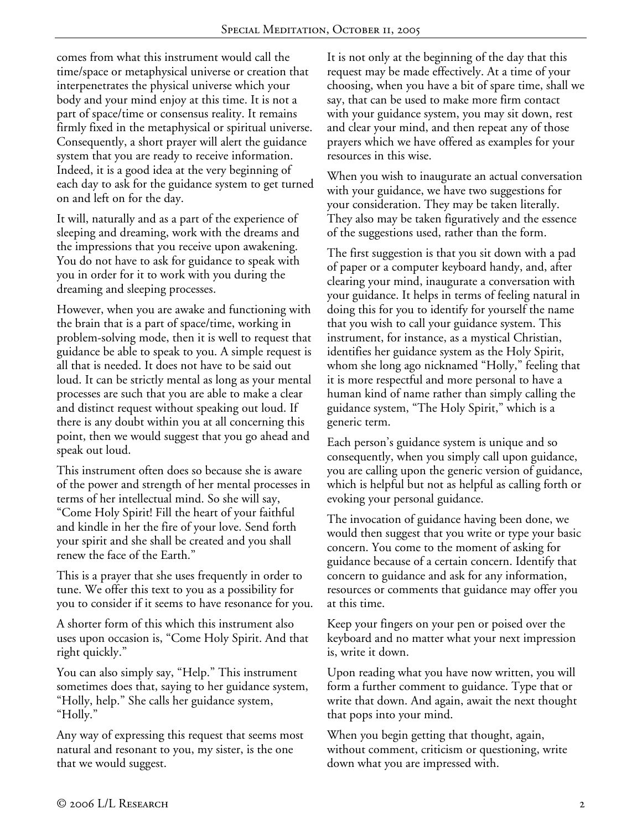comes from what this instrument would call the time/space or metaphysical universe or creation that interpenetrates the physical universe which your body and your mind enjoy at this time. It is not a part of space/time or consensus reality. It remains firmly fixed in the metaphysical or spiritual universe. Consequently, a short prayer will alert the guidance system that you are ready to receive information. Indeed, it is a good idea at the very beginning of each day to ask for the guidance system to get turned on and left on for the day.

It will, naturally and as a part of the experience of sleeping and dreaming, work with the dreams and the impressions that you receive upon awakening. You do not have to ask for guidance to speak with you in order for it to work with you during the dreaming and sleeping processes.

However, when you are awake and functioning with the brain that is a part of space/time, working in problem-solving mode, then it is well to request that guidance be able to speak to you. A simple request is all that is needed. It does not have to be said out loud. It can be strictly mental as long as your mental processes are such that you are able to make a clear and distinct request without speaking out loud. If there is any doubt within you at all concerning this point, then we would suggest that you go ahead and speak out loud.

This instrument often does so because she is aware of the power and strength of her mental processes in terms of her intellectual mind. So she will say, "Come Holy Spirit! Fill the heart of your faithful and kindle in her the fire of your love. Send forth your spirit and she shall be created and you shall renew the face of the Earth."

This is a prayer that she uses frequently in order to tune. We offer this text to you as a possibility for you to consider if it seems to have resonance for you.

A shorter form of this which this instrument also uses upon occasion is, "Come Holy Spirit. And that right quickly."

You can also simply say, "Help." This instrument sometimes does that, saying to her guidance system, "Holly, help." She calls her guidance system, "Holly."

Any way of expressing this request that seems most natural and resonant to you, my sister, is the one that we would suggest.

It is not only at the beginning of the day that this request may be made effectively. At a time of your choosing, when you have a bit of spare time, shall we say, that can be used to make more firm contact with your guidance system, you may sit down, rest and clear your mind, and then repeat any of those prayers which we have offered as examples for your resources in this wise.

When you wish to inaugurate an actual conversation with your guidance, we have two suggestions for your consideration. They may be taken literally. They also may be taken figuratively and the essence of the suggestions used, rather than the form.

The first suggestion is that you sit down with a pad of paper or a computer keyboard handy, and, after clearing your mind, inaugurate a conversation with your guidance. It helps in terms of feeling natural in doing this for you to identify for yourself the name that you wish to call your guidance system. This instrument, for instance, as a mystical Christian, identifies her guidance system as the Holy Spirit, whom she long ago nicknamed "Holly," feeling that it is more respectful and more personal to have a human kind of name rather than simply calling the guidance system, "The Holy Spirit," which is a generic term.

Each person's guidance system is unique and so consequently, when you simply call upon guidance, you are calling upon the generic version of guidance, which is helpful but not as helpful as calling forth or evoking your personal guidance.

The invocation of guidance having been done, we would then suggest that you write or type your basic concern. You come to the moment of asking for guidance because of a certain concern. Identify that concern to guidance and ask for any information, resources or comments that guidance may offer you at this time.

Keep your fingers on your pen or poised over the keyboard and no matter what your next impression is, write it down.

Upon reading what you have now written, you will form a further comment to guidance. Type that or write that down. And again, await the next thought that pops into your mind.

When you begin getting that thought, again, without comment, criticism or questioning, write down what you are impressed with.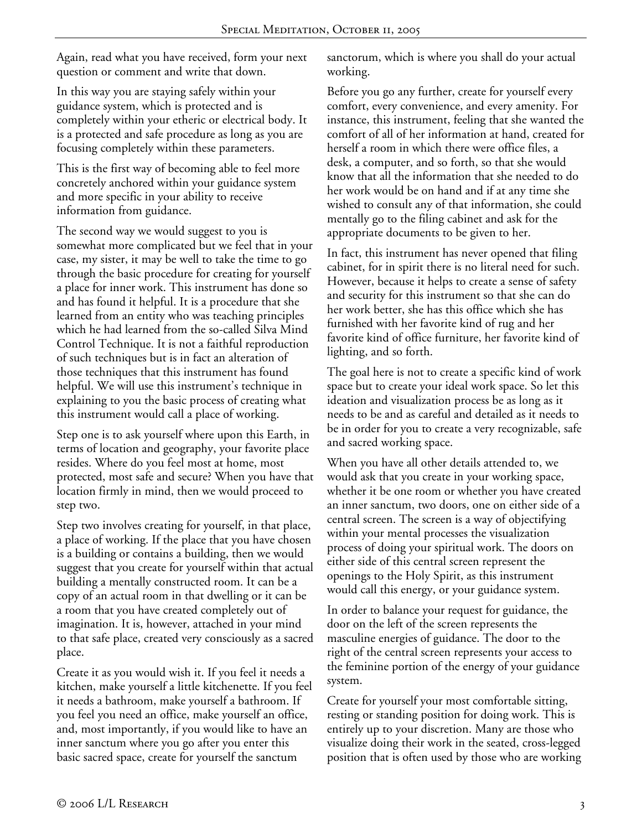Again, read what you have received, form your next question or comment and write that down.

In this way you are staying safely within your guidance system, which is protected and is completely within your etheric or electrical body. It is a protected and safe procedure as long as you are focusing completely within these parameters.

This is the first way of becoming able to feel more concretely anchored within your guidance system and more specific in your ability to receive information from guidance.

The second way we would suggest to you is somewhat more complicated but we feel that in your case, my sister, it may be well to take the time to go through the basic procedure for creating for yourself a place for inner work. This instrument has done so and has found it helpful. It is a procedure that she learned from an entity who was teaching principles which he had learned from the so-called Silva Mind Control Technique. It is not a faithful reproduction of such techniques but is in fact an alteration of those techniques that this instrument has found helpful. We will use this instrument's technique in explaining to you the basic process of creating what this instrument would call a place of working.

Step one is to ask yourself where upon this Earth, in terms of location and geography, your favorite place resides. Where do you feel most at home, most protected, most safe and secure? When you have that location firmly in mind, then we would proceed to step two.

Step two involves creating for yourself, in that place, a place of working. If the place that you have chosen is a building or contains a building, then we would suggest that you create for yourself within that actual building a mentally constructed room. It can be a copy of an actual room in that dwelling or it can be a room that you have created completely out of imagination. It is, however, attached in your mind to that safe place, created very consciously as a sacred place.

Create it as you would wish it. If you feel it needs a kitchen, make yourself a little kitchenette. If you feel it needs a bathroom, make yourself a bathroom. If you feel you need an office, make yourself an office, and, most importantly, if you would like to have an inner sanctum where you go after you enter this basic sacred space, create for yourself the sanctum

sanctorum, which is where you shall do your actual working.

Before you go any further, create for yourself every comfort, every convenience, and every amenity. For instance, this instrument, feeling that she wanted the comfort of all of her information at hand, created for herself a room in which there were office files, a desk, a computer, and so forth, so that she would know that all the information that she needed to do her work would be on hand and if at any time she wished to consult any of that information, she could mentally go to the filing cabinet and ask for the appropriate documents to be given to her.

In fact, this instrument has never opened that filing cabinet, for in spirit there is no literal need for such. However, because it helps to create a sense of safety and security for this instrument so that she can do her work better, she has this office which she has furnished with her favorite kind of rug and her favorite kind of office furniture, her favorite kind of lighting, and so forth.

The goal here is not to create a specific kind of work space but to create your ideal work space. So let this ideation and visualization process be as long as it needs to be and as careful and detailed as it needs to be in order for you to create a very recognizable, safe and sacred working space.

When you have all other details attended to, we would ask that you create in your working space, whether it be one room or whether you have created an inner sanctum, two doors, one on either side of a central screen. The screen is a way of objectifying within your mental processes the visualization process of doing your spiritual work. The doors on either side of this central screen represent the openings to the Holy Spirit, as this instrument would call this energy, or your guidance system.

In order to balance your request for guidance, the door on the left of the screen represents the masculine energies of guidance. The door to the right of the central screen represents your access to the feminine portion of the energy of your guidance system.

Create for yourself your most comfortable sitting, resting or standing position for doing work. This is entirely up to your discretion. Many are those who visualize doing their work in the seated, cross-legged position that is often used by those who are working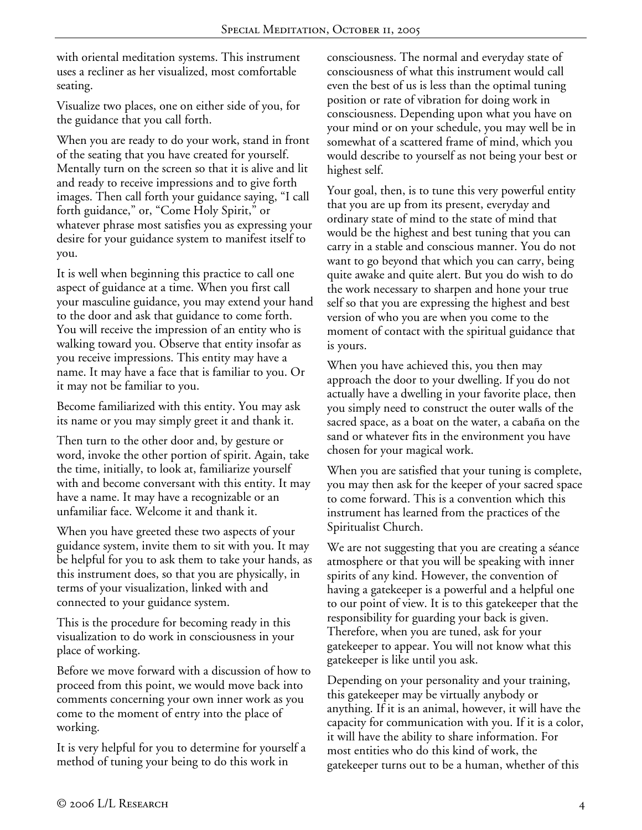with oriental meditation systems. This instrument uses a recliner as her visualized, most comfortable seating.

Visualize two places, one on either side of you, for the guidance that you call forth.

When you are ready to do your work, stand in front of the seating that you have created for yourself. Mentally turn on the screen so that it is alive and lit and ready to receive impressions and to give forth images. Then call forth your guidance saying, "I call forth guidance," or, "Come Holy Spirit," or whatever phrase most satisfies you as expressing your desire for your guidance system to manifest itself to you.

It is well when beginning this practice to call one aspect of guidance at a time. When you first call your masculine guidance, you may extend your hand to the door and ask that guidance to come forth. You will receive the impression of an entity who is walking toward you. Observe that entity insofar as you receive impressions. This entity may have a name. It may have a face that is familiar to you. Or it may not be familiar to you.

Become familiarized with this entity. You may ask its name or you may simply greet it and thank it.

Then turn to the other door and, by gesture or word, invoke the other portion of spirit. Again, take the time, initially, to look at, familiarize yourself with and become conversant with this entity. It may have a name. It may have a recognizable or an unfamiliar face. Welcome it and thank it.

When you have greeted these two aspects of your guidance system, invite them to sit with you. It may be helpful for you to ask them to take your hands, as this instrument does, so that you are physically, in terms of your visualization, linked with and connected to your guidance system.

This is the procedure for becoming ready in this visualization to do work in consciousness in your place of working.

Before we move forward with a discussion of how to proceed from this point, we would move back into comments concerning your own inner work as you come to the moment of entry into the place of working.

It is very helpful for you to determine for yourself a method of tuning your being to do this work in

consciousness. The normal and everyday state of consciousness of what this instrument would call even the best of us is less than the optimal tuning position or rate of vibration for doing work in consciousness. Depending upon what you have on your mind or on your schedule, you may well be in somewhat of a scattered frame of mind, which you would describe to yourself as not being your best or highest self.

Your goal, then, is to tune this very powerful entity that you are up from its present, everyday and ordinary state of mind to the state of mind that would be the highest and best tuning that you can carry in a stable and conscious manner. You do not want to go beyond that which you can carry, being quite awake and quite alert. But you do wish to do the work necessary to sharpen and hone your true self so that you are expressing the highest and best version of who you are when you come to the moment of contact with the spiritual guidance that is yours.

When you have achieved this, you then may approach the door to your dwelling. If you do not actually have a dwelling in your favorite place, then you simply need to construct the outer walls of the sacred space, as a boat on the water, a cabaña on the sand or whatever fits in the environment you have chosen for your magical work.

When you are satisfied that your tuning is complete, you may then ask for the keeper of your sacred space to come forward. This is a convention which this instrument has learned from the practices of the Spiritualist Church.

We are not suggesting that you are creating a séance atmosphere or that you will be speaking with inner spirits of any kind. However, the convention of having a gatekeeper is a powerful and a helpful one to our point of view. It is to this gatekeeper that the responsibility for guarding your back is given. Therefore, when you are tuned, ask for your gatekeeper to appear. You will not know what this gatekeeper is like until you ask.

Depending on your personality and your training, this gatekeeper may be virtually anybody or anything. If it is an animal, however, it will have the capacity for communication with you. If it is a color, it will have the ability to share information. For most entities who do this kind of work, the gatekeeper turns out to be a human, whether of this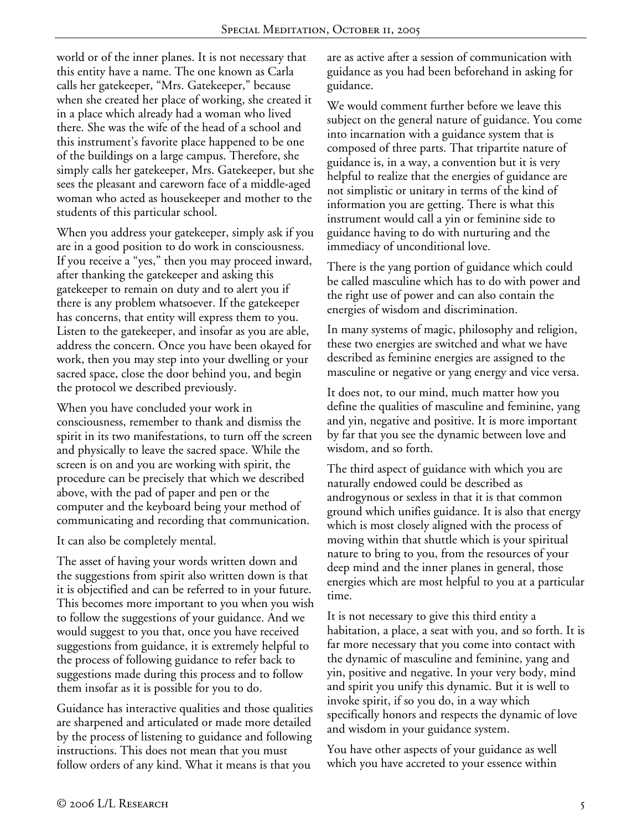world or of the inner planes. It is not necessary that this entity have a name. The one known as Carla calls her gatekeeper, "Mrs. Gatekeeper," because when she created her place of working, she created it in a place which already had a woman who lived there. She was the wife of the head of a school and this instrument's favorite place happened to be one of the buildings on a large campus. Therefore, she simply calls her gatekeeper, Mrs. Gatekeeper, but she sees the pleasant and careworn face of a middle-aged woman who acted as housekeeper and mother to the students of this particular school.

When you address your gatekeeper, simply ask if you are in a good position to do work in consciousness. If you receive a "yes," then you may proceed inward, after thanking the gatekeeper and asking this gatekeeper to remain on duty and to alert you if there is any problem whatsoever. If the gatekeeper has concerns, that entity will express them to you. Listen to the gatekeeper, and insofar as you are able, address the concern. Once you have been okayed for work, then you may step into your dwelling or your sacred space, close the door behind you, and begin the protocol we described previously.

When you have concluded your work in consciousness, remember to thank and dismiss the spirit in its two manifestations, to turn off the screen and physically to leave the sacred space. While the screen is on and you are working with spirit, the procedure can be precisely that which we described above, with the pad of paper and pen or the computer and the keyboard being your method of communicating and recording that communication.

It can also be completely mental.

The asset of having your words written down and the suggestions from spirit also written down is that it is objectified and can be referred to in your future. This becomes more important to you when you wish to follow the suggestions of your guidance. And we would suggest to you that, once you have received suggestions from guidance, it is extremely helpful to the process of following guidance to refer back to suggestions made during this process and to follow them insofar as it is possible for you to do.

Guidance has interactive qualities and those qualities are sharpened and articulated or made more detailed by the process of listening to guidance and following instructions. This does not mean that you must follow orders of any kind. What it means is that you

are as active after a session of communication with guidance as you had been beforehand in asking for guidance.

We would comment further before we leave this subject on the general nature of guidance. You come into incarnation with a guidance system that is composed of three parts. That tripartite nature of guidance is, in a way, a convention but it is very helpful to realize that the energies of guidance are not simplistic or unitary in terms of the kind of information you are getting. There is what this instrument would call a yin or feminine side to guidance having to do with nurturing and the immediacy of unconditional love.

There is the yang portion of guidance which could be called masculine which has to do with power and the right use of power and can also contain the energies of wisdom and discrimination.

In many systems of magic, philosophy and religion, these two energies are switched and what we have described as feminine energies are assigned to the masculine or negative or yang energy and vice versa.

It does not, to our mind, much matter how you define the qualities of masculine and feminine, yang and yin, negative and positive. It is more important by far that you see the dynamic between love and wisdom, and so forth.

The third aspect of guidance with which you are naturally endowed could be described as androgynous or sexless in that it is that common ground which unifies guidance. It is also that energy which is most closely aligned with the process of moving within that shuttle which is your spiritual nature to bring to you, from the resources of your deep mind and the inner planes in general, those energies which are most helpful to you at a particular time.

It is not necessary to give this third entity a habitation, a place, a seat with you, and so forth. It is far more necessary that you come into contact with the dynamic of masculine and feminine, yang and yin, positive and negative. In your very body, mind and spirit you unify this dynamic. But it is well to invoke spirit, if so you do, in a way which specifically honors and respects the dynamic of love and wisdom in your guidance system.

You have other aspects of your guidance as well which you have accreted to your essence within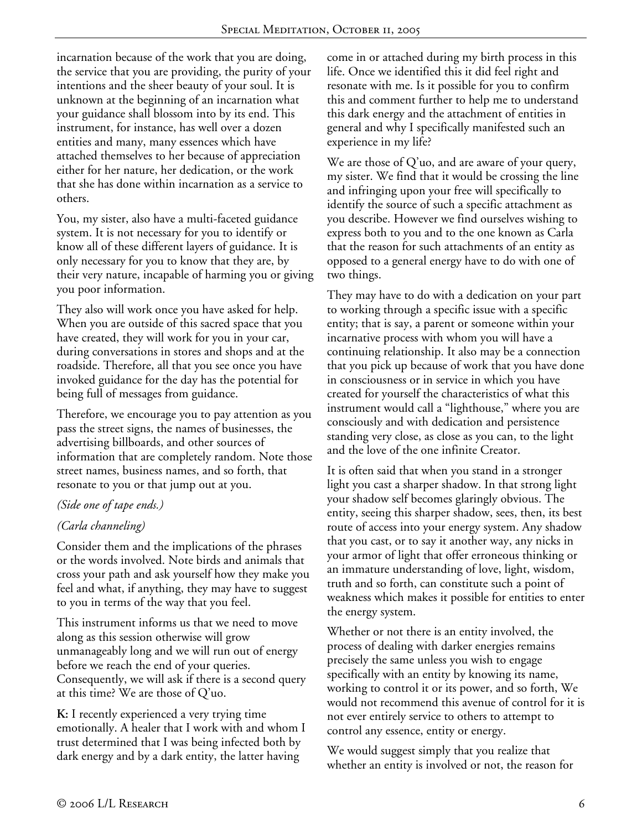incarnation because of the work that you are doing, the service that you are providing, the purity of your intentions and the sheer beauty of your soul. It is unknown at the beginning of an incarnation what your guidance shall blossom into by its end. This instrument, for instance, has well over a dozen entities and many, many essences which have attached themselves to her because of appreciation either for her nature, her dedication, or the work that she has done within incarnation as a service to others.

You, my sister, also have a multi-faceted guidance system. It is not necessary for you to identify or know all of these different layers of guidance. It is only necessary for you to know that they are, by their very nature, incapable of harming you or giving you poor information.

They also will work once you have asked for help. When you are outside of this sacred space that you have created, they will work for you in your car, during conversations in stores and shops and at the roadside. Therefore, all that you see once you have invoked guidance for the day has the potential for being full of messages from guidance.

Therefore, we encourage you to pay attention as you pass the street signs, the names of businesses, the advertising billboards, and other sources of information that are completely random. Note those street names, business names, and so forth, that resonate to you or that jump out at you.

## *(Side one of tape ends.)*

## *(Carla channeling)*

Consider them and the implications of the phrases or the words involved. Note birds and animals that cross your path and ask yourself how they make you feel and what, if anything, they may have to suggest to you in terms of the way that you feel.

This instrument informs us that we need to move along as this session otherwise will grow unmanageably long and we will run out of energy before we reach the end of your queries. Consequently, we will ask if there is a second query at this time? We are those of Q'uo.

**K:** I recently experienced a very trying time emotionally. A healer that I work with and whom I trust determined that I was being infected both by dark energy and by a dark entity, the latter having

come in or attached during my birth process in this life. Once we identified this it did feel right and resonate with me. Is it possible for you to confirm this and comment further to help me to understand this dark energy and the attachment of entities in general and why I specifically manifested such an experience in my life?

We are those of Q'uo, and are aware of your query, my sister. We find that it would be crossing the line and infringing upon your free will specifically to identify the source of such a specific attachment as you describe. However we find ourselves wishing to express both to you and to the one known as Carla that the reason for such attachments of an entity as opposed to a general energy have to do with one of two things.

They may have to do with a dedication on your part to working through a specific issue with a specific entity; that is say, a parent or someone within your incarnative process with whom you will have a continuing relationship. It also may be a connection that you pick up because of work that you have done in consciousness or in service in which you have created for yourself the characteristics of what this instrument would call a "lighthouse," where you are consciously and with dedication and persistence standing very close, as close as you can, to the light and the love of the one infinite Creator.

It is often said that when you stand in a stronger light you cast a sharper shadow. In that strong light your shadow self becomes glaringly obvious. The entity, seeing this sharper shadow, sees, then, its best route of access into your energy system. Any shadow that you cast, or to say it another way, any nicks in your armor of light that offer erroneous thinking or an immature understanding of love, light, wisdom, truth and so forth, can constitute such a point of weakness which makes it possible for entities to enter the energy system.

Whether or not there is an entity involved, the process of dealing with darker energies remains precisely the same unless you wish to engage specifically with an entity by knowing its name, working to control it or its power, and so forth, We would not recommend this avenue of control for it is not ever entirely service to others to attempt to control any essence, entity or energy.

We would suggest simply that you realize that whether an entity is involved or not, the reason for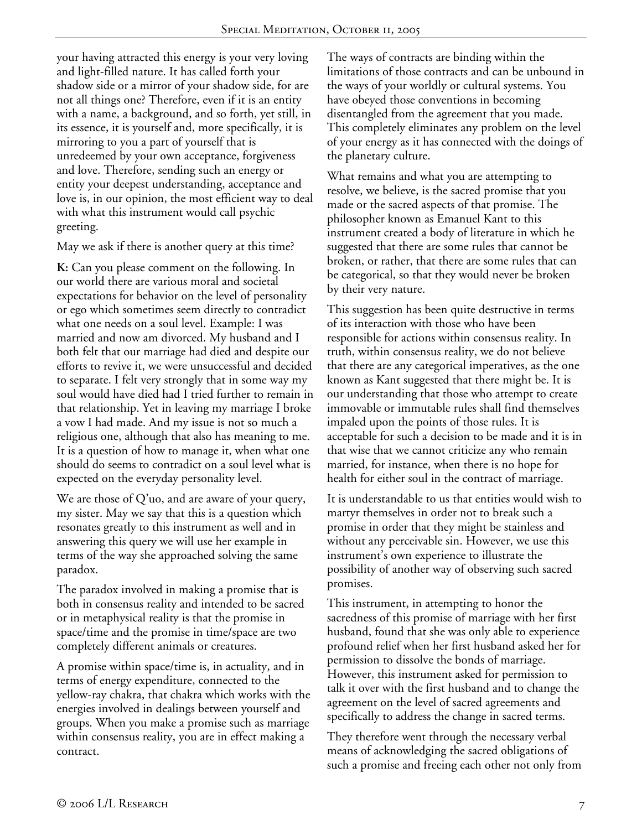your having attracted this energy is your very loving and light-filled nature. It has called forth your shadow side or a mirror of your shadow side, for are not all things one? Therefore, even if it is an entity with a name, a background, and so forth, yet still, in its essence, it is yourself and, more specifically, it is mirroring to you a part of yourself that is unredeemed by your own acceptance, forgiveness and love. Therefore, sending such an energy or entity your deepest understanding, acceptance and love is, in our opinion, the most efficient way to deal with what this instrument would call psychic greeting.

May we ask if there is another query at this time?

**K:** Can you please comment on the following. In our world there are various moral and societal expectations for behavior on the level of personality or ego which sometimes seem directly to contradict what one needs on a soul level. Example: I was married and now am divorced. My husband and I both felt that our marriage had died and despite our efforts to revive it, we were unsuccessful and decided to separate. I felt very strongly that in some way my soul would have died had I tried further to remain in that relationship. Yet in leaving my marriage I broke a vow I had made. And my issue is not so much a religious one, although that also has meaning to me. It is a question of how to manage it, when what one should do seems to contradict on a soul level what is expected on the everyday personality level.

We are those of Q'uo, and are aware of your query, my sister. May we say that this is a question which resonates greatly to this instrument as well and in answering this query we will use her example in terms of the way she approached solving the same paradox.

The paradox involved in making a promise that is both in consensus reality and intended to be sacred or in metaphysical reality is that the promise in space/time and the promise in time/space are two completely different animals or creatures.

A promise within space/time is, in actuality, and in terms of energy expenditure, connected to the yellow-ray chakra, that chakra which works with the energies involved in dealings between yourself and groups. When you make a promise such as marriage within consensus reality, you are in effect making a contract.

The ways of contracts are binding within the limitations of those contracts and can be unbound in the ways of your worldly or cultural systems. You have obeyed those conventions in becoming disentangled from the agreement that you made. This completely eliminates any problem on the level of your energy as it has connected with the doings of the planetary culture.

What remains and what you are attempting to resolve, we believe, is the sacred promise that you made or the sacred aspects of that promise. The philosopher known as Emanuel Kant to this instrument created a body of literature in which he suggested that there are some rules that cannot be broken, or rather, that there are some rules that can be categorical, so that they would never be broken by their very nature.

This suggestion has been quite destructive in terms of its interaction with those who have been responsible for actions within consensus reality. In truth, within consensus reality, we do not believe that there are any categorical imperatives, as the one known as Kant suggested that there might be. It is our understanding that those who attempt to create immovable or immutable rules shall find themselves impaled upon the points of those rules. It is acceptable for such a decision to be made and it is in that wise that we cannot criticize any who remain married, for instance, when there is no hope for health for either soul in the contract of marriage.

It is understandable to us that entities would wish to martyr themselves in order not to break such a promise in order that they might be stainless and without any perceivable sin. However, we use this instrument's own experience to illustrate the possibility of another way of observing such sacred promises.

This instrument, in attempting to honor the sacredness of this promise of marriage with her first husband, found that she was only able to experience profound relief when her first husband asked her for permission to dissolve the bonds of marriage. However, this instrument asked for permission to talk it over with the first husband and to change the agreement on the level of sacred agreements and specifically to address the change in sacred terms.

They therefore went through the necessary verbal means of acknowledging the sacred obligations of such a promise and freeing each other not only from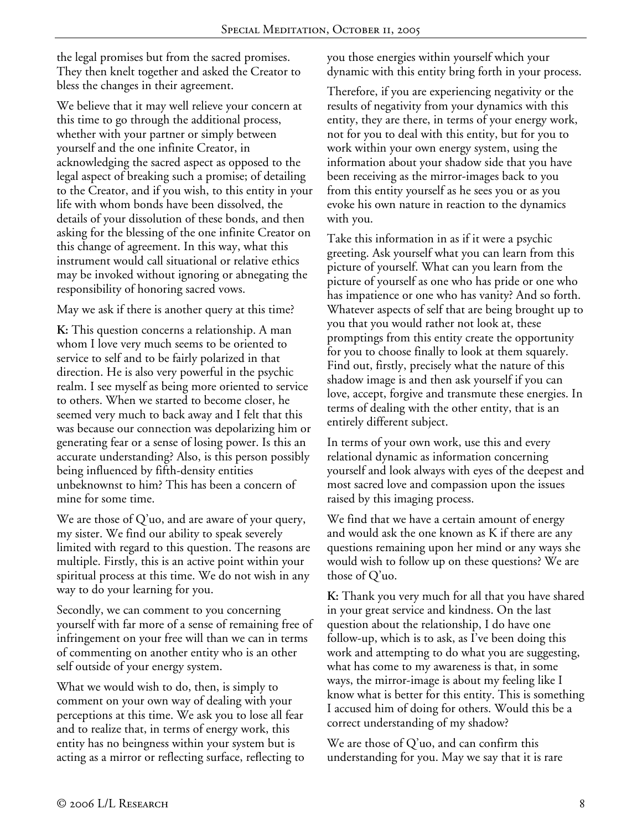the legal promises but from the sacred promises. They then knelt together and asked the Creator to bless the changes in their agreement.

We believe that it may well relieve your concern at this time to go through the additional process, whether with your partner or simply between yourself and the one infinite Creator, in acknowledging the sacred aspect as opposed to the legal aspect of breaking such a promise; of detailing to the Creator, and if you wish, to this entity in your life with whom bonds have been dissolved, the details of your dissolution of these bonds, and then asking for the blessing of the one infinite Creator on this change of agreement. In this way, what this instrument would call situational or relative ethics may be invoked without ignoring or abnegating the responsibility of honoring sacred vows.

May we ask if there is another query at this time?

**K:** This question concerns a relationship. A man whom I love very much seems to be oriented to service to self and to be fairly polarized in that direction. He is also very powerful in the psychic realm. I see myself as being more oriented to service to others. When we started to become closer, he seemed very much to back away and I felt that this was because our connection was depolarizing him or generating fear or a sense of losing power. Is this an accurate understanding? Also, is this person possibly being influenced by fifth-density entities unbeknownst to him? This has been a concern of mine for some time.

We are those of  $Q'$ uo, and are aware of your query, my sister. We find our ability to speak severely limited with regard to this question. The reasons are multiple. Firstly, this is an active point within your spiritual process at this time. We do not wish in any way to do your learning for you.

Secondly, we can comment to you concerning yourself with far more of a sense of remaining free of infringement on your free will than we can in terms of commenting on another entity who is an other self outside of your energy system.

What we would wish to do, then, is simply to comment on your own way of dealing with your perceptions at this time. We ask you to lose all fear and to realize that, in terms of energy work, this entity has no beingness within your system but is acting as a mirror or reflecting surface, reflecting to you those energies within yourself which your dynamic with this entity bring forth in your process.

Therefore, if you are experiencing negativity or the results of negativity from your dynamics with this entity, they are there, in terms of your energy work, not for you to deal with this entity, but for you to work within your own energy system, using the information about your shadow side that you have been receiving as the mirror-images back to you from this entity yourself as he sees you or as you evoke his own nature in reaction to the dynamics with you.

Take this information in as if it were a psychic greeting. Ask yourself what you can learn from this picture of yourself. What can you learn from the picture of yourself as one who has pride or one who has impatience or one who has vanity? And so forth. Whatever aspects of self that are being brought up to you that you would rather not look at, these promptings from this entity create the opportunity for you to choose finally to look at them squarely. Find out, firstly, precisely what the nature of this shadow image is and then ask yourself if you can love, accept, forgive and transmute these energies. In terms of dealing with the other entity, that is an entirely different subject.

In terms of your own work, use this and every relational dynamic as information concerning yourself and look always with eyes of the deepest and most sacred love and compassion upon the issues raised by this imaging process.

We find that we have a certain amount of energy and would ask the one known as K if there are any questions remaining upon her mind or any ways she would wish to follow up on these questions? We are those of Q'uo.

**K:** Thank you very much for all that you have shared in your great service and kindness. On the last question about the relationship, I do have one follow-up, which is to ask, as I've been doing this work and attempting to do what you are suggesting, what has come to my awareness is that, in some ways, the mirror-image is about my feeling like I know what is better for this entity. This is something I accused him of doing for others. Would this be a correct understanding of my shadow?

We are those of Q'uo, and can confirm this understanding for you. May we say that it is rare